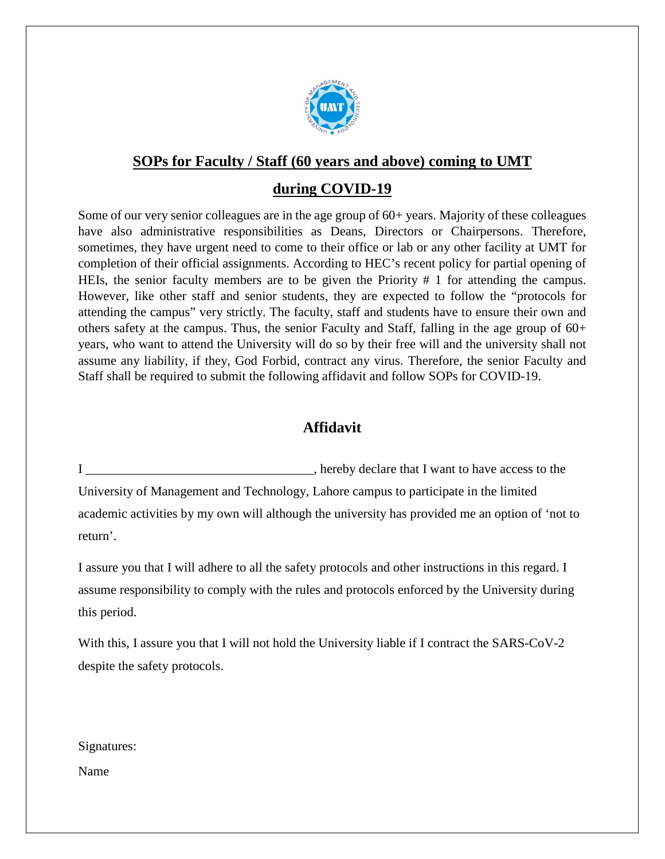

## **SOPs for Faculty / Staff (60 years and above) coming to UMT**

## **during COVID-19**

Some of our very senior colleagues are in the age group of  $60+$  years. Majority of these colleagues have also administrative responsibilities as Deans, Directors or Chairpersons. Therefore, sometimes, they have urgent need to come to their office or lab or any other facility at UMT for completion of their official assignments. According to HEC's recent policy for partial opening of HEIs, the senior faculty members are to be given the Priority # 1 for attending the campus. However, like other staff and senior students, they are expected to follow the "protocols for attending the campus" very strictly. The faculty, staff and students have to ensure their own and others safety at the campus. Thus, the senior Faculty and Staff, falling in the age group of 60+ years, who want to attend the University will do so by their free will and the university shall not assume any liability, if they, God Forbid, contract any virus. Therefore, the senior Faculty and Staff shall be required to submit the following affidavit and follow SOPs for COVID-19.

## **Affidavit**

I \_\_\_\_\_\_\_\_\_\_\_\_\_\_\_\_\_\_\_\_\_\_\_\_\_\_\_\_\_\_\_\_\_\_\_, hereby declare that I want to have access to the University of Management and Technology, Lahore campus to participate in the limited academic activities by my own will although the university has provided me an option of 'not to return'.

I assure you that I will adhere to all the safety protocols and other instructions in this regard. I assume responsibility to comply with the rules and protocols enforced by the University during this period.

With this, I assure you that I will not hold the University liable if I contract the SARS-CoV-2 despite the safety protocols.

Signatures:

Name